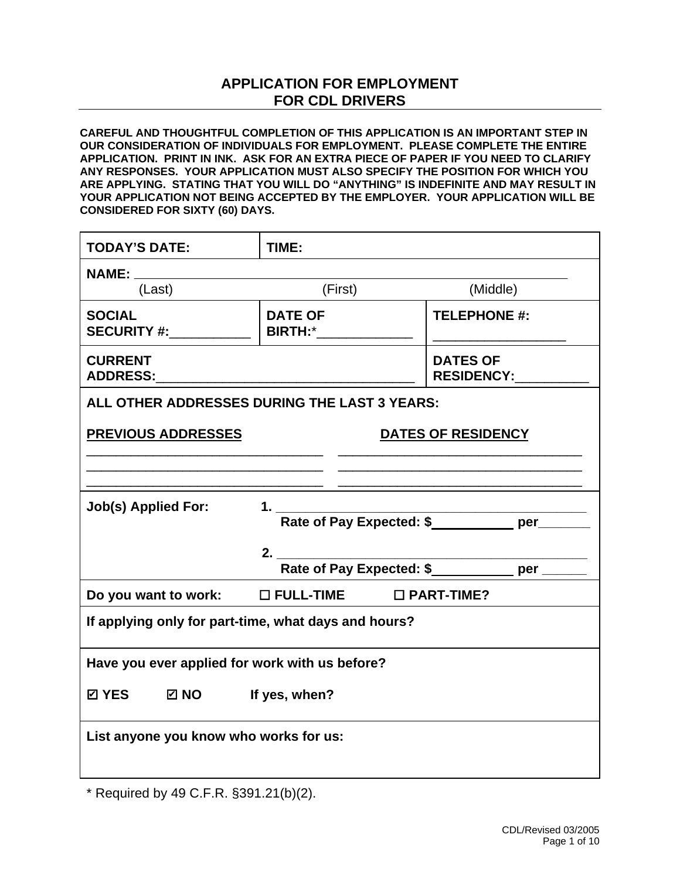## **APPLICATION FOR EMPLOYMENT FOR CDL DRIVERS**

**CAREFUL AND THOUGHTFUL COMPLETION OF THIS APPLICATION IS AN IMPORTANT STEP IN OUR CONSIDERATION OF INDIVIDUALS FOR EMPLOYMENT. PLEASE COMPLETE THE ENTIRE APPLICATION. PRINT IN INK. ASK FOR AN EXTRA PIECE OF PAPER IF YOU NEED TO CLARIFY ANY RESPONSES. YOUR APPLICATION MUST ALSO SPECIFY THE POSITION FOR WHICH YOU ARE APPLYING. STATING THAT YOU WILL DO "ANYTHING" IS INDEFINITE AND MAY RESULT IN YOUR APPLICATION NOT BEING ACCEPTED BY THE EMPLOYER. YOUR APPLICATION WILL BE CONSIDERED FOR SIXTY (60) DAYS.**

| <b>TODAY'S DATE:</b>                                    | TIME:                                |                     |  |
|---------------------------------------------------------|--------------------------------------|---------------------|--|
| <b>NAME:</b> _____                                      |                                      |                     |  |
| (Last)                                                  | (First)                              | (Middle)            |  |
| <b>SOCIAL</b><br><b>SECURITY #:</b>                     | <b>DATE OF</b><br><b>BIRTH:*</b>     | <b>TELEPHONE #:</b> |  |
| <b>CURRENT</b>                                          | <b>DATES OF</b><br>RESIDENCY:_______ |                     |  |
| ALL OTHER ADDRESSES DURING THE LAST 3 YEARS:            |                                      |                     |  |
| <b>PREVIOUS ADDRESSES</b>                               | DATES OF RESIDENCY                   |                     |  |
|                                                         |                                      |                     |  |
| <b>Job(s) Applied For:</b>                              |                                      |                     |  |
| 2.<br>Rate of Pay Expected: \$__________ per _____      |                                      |                     |  |
| Do you want to work: $\Box$ FULL-TIME $\Box$ PART-TIME? |                                      |                     |  |
| If applying only for part-time, what days and hours?    |                                      |                     |  |
| Have you ever applied for work with us before?          |                                      |                     |  |
| ☑ YES ☑ NO If yes, when?                                |                                      |                     |  |
| List anyone you know who works for us:                  |                                      |                     |  |

\* Required by 49 C.F.R. §391.21(b)(2).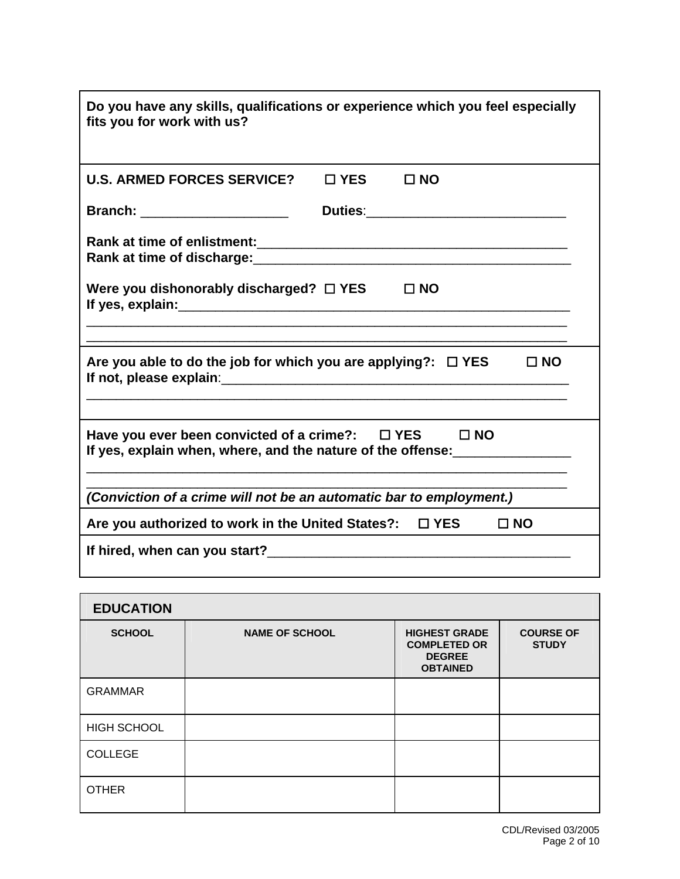| Do you have any skills, qualifications or experience which you feel especially<br>fits you for work with us?                      |               |              |           |
|-----------------------------------------------------------------------------------------------------------------------------------|---------------|--------------|-----------|
| <b>U.S. ARMED FORCES SERVICE?</b>                                                                                                 | $\square$ YES | $\Box$ NO    |           |
| Branch: _______________________                                                                                                   |               |              |           |
| Rank at time of discharge: Manual Manual Manual Manual Manual Manual Manual Manual Manual Manual Manual Manual                    |               |              |           |
| Were you dishonorably discharged? $\square$ YES                                                                                   |               | $\square$ NO |           |
| Are you able to do the job for which you are applying?: $\Box$ YES<br>$\Box$ NO                                                   |               |              |           |
| Have you ever been convicted of a crime?: $\Box$ YES $\Box$ NO<br>If yes, explain when, where, and the nature of the offense:<br> |               |              |           |
| (Conviction of a crime will not be an automatic bar to employment.)                                                               |               |              |           |
| Are you authorized to work in the United States?:                                                                                 |               | $\Box$ YES   | $\Box$ NO |
|                                                                                                                                   |               |              |           |

| <b>EDUCATION</b>   |                       |                                                                                 |                                  |
|--------------------|-----------------------|---------------------------------------------------------------------------------|----------------------------------|
| <b>SCHOOL</b>      | <b>NAME OF SCHOOL</b> | <b>HIGHEST GRADE</b><br><b>COMPLETED OR</b><br><b>DEGREE</b><br><b>OBTAINED</b> | <b>COURSE OF</b><br><b>STUDY</b> |
| <b>GRAMMAR</b>     |                       |                                                                                 |                                  |
| <b>HIGH SCHOOL</b> |                       |                                                                                 |                                  |
| <b>COLLEGE</b>     |                       |                                                                                 |                                  |
| <b>OTHER</b>       |                       |                                                                                 |                                  |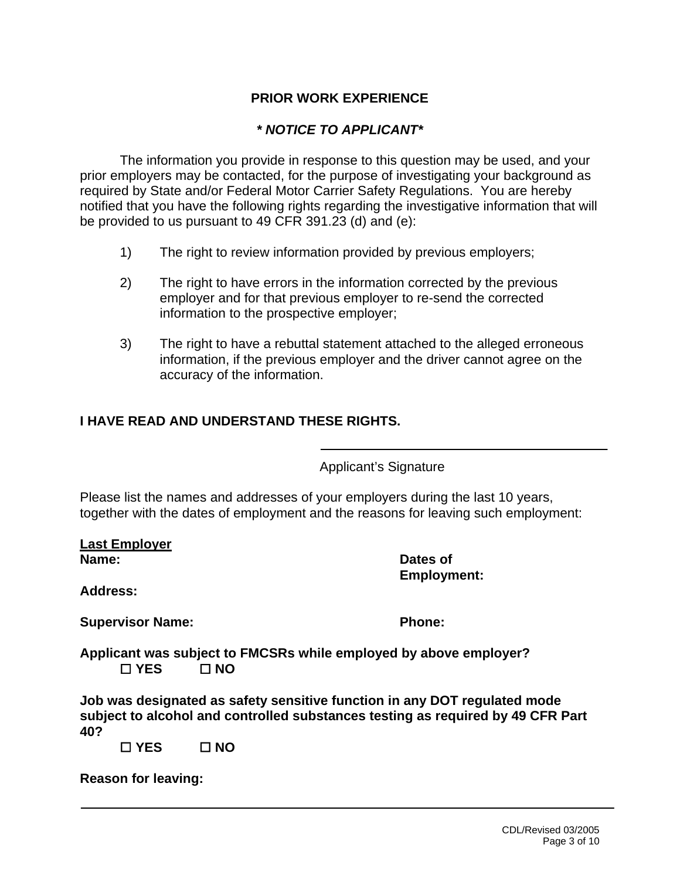### **PRIOR WORK EXPERIENCE**

#### *\* NOTICE TO APPLICANT\**

The information you provide in response to this question may be used, and your prior employers may be contacted, for the purpose of investigating your background as required by State and/or Federal Motor Carrier Safety Regulations. You are hereby notified that you have the following rights regarding the investigative information that will be provided to us pursuant to 49 CFR 391.23 (d) and (e):

- 1) The right to review information provided by previous employers;
- 2) The right to have errors in the information corrected by the previous employer and for that previous employer to re-send the corrected information to the prospective employer;
- 3) The right to have a rebuttal statement attached to the alleged erroneous information, if the previous employer and the driver cannot agree on the accuracy of the information.

### **I HAVE READ AND UNDERSTAND THESE RIGHTS.**

Applicant's Signature

Please list the names and addresses of your employers during the last 10 years, together with the dates of employment and the reasons for leaving such employment:

Ī.

**Last Employer Name:** Dates of

**Employment:** 

**Address:** 

**Supervisor Name: Phone: Phone: Phone: Phone: Phone: Phone: Phone: Phone: Phone: Phone: Phone: Phone: Phone: Phone: Phone: Phone: Phone: Phone: Phone: Phone: Phone: Phone: Phon** 

**Applicant was subject to FMCSRs while employed by above employer? YES NO** 

**Job was designated as safety sensitive function in any DOT regulated mode subject to alcohol and controlled substances testing as required by 49 CFR Part 40?** 

 **YES NO** 

**Reason for leaving:**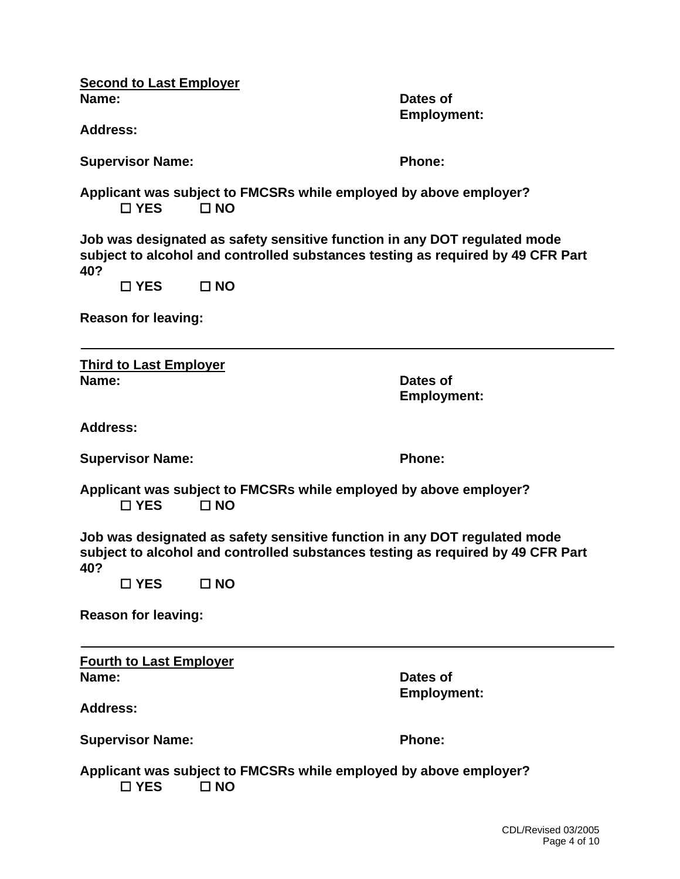| <b>Second to Last Employer</b><br>Name:<br><b>Address:</b>                                                                                                                                           |                                                                                   | Dates of<br><b>Employment:</b> |  |
|------------------------------------------------------------------------------------------------------------------------------------------------------------------------------------------------------|-----------------------------------------------------------------------------------|--------------------------------|--|
| <b>Supervisor Name:</b>                                                                                                                                                                              |                                                                                   | <b>Phone:</b>                  |  |
| $\Box$ YES                                                                                                                                                                                           | Applicant was subject to FMCSRs while employed by above employer?<br>$\square$ NO |                                |  |
| Job was designated as safety sensitive function in any DOT regulated mode<br>subject to alcohol and controlled substances testing as required by 49 CFR Part<br>40?<br>$\square$ YES<br>$\square$ NO |                                                                                   |                                |  |
| <b>Reason for leaving:</b>                                                                                                                                                                           |                                                                                   |                                |  |
| <b>Third to Last Employer</b><br>Name:                                                                                                                                                               |                                                                                   | Dates of<br><b>Employment:</b> |  |
| <b>Address:</b>                                                                                                                                                                                      |                                                                                   |                                |  |
| <b>Supervisor Name:</b>                                                                                                                                                                              |                                                                                   | <b>Phone:</b>                  |  |
| Applicant was subject to FMCSRs while employed by above employer?<br>$\Box$ YES<br>$\square$ NO                                                                                                      |                                                                                   |                                |  |
| Job was designated as safety sensitive function in any DOT regulated mode<br>subject to alcohol and controlled substances testing as required by 49 CFR Part<br>40?                                  |                                                                                   |                                |  |
| $\square$ YES                                                                                                                                                                                        | $\square$ NO                                                                      |                                |  |
| <b>Reason for leaving:</b>                                                                                                                                                                           |                                                                                   |                                |  |
| <b>Fourth to Last Employer</b>                                                                                                                                                                       |                                                                                   |                                |  |
| Name:<br><b>Address:</b>                                                                                                                                                                             |                                                                                   | Dates of<br><b>Employment:</b> |  |
|                                                                                                                                                                                                      |                                                                                   |                                |  |
| <b>Supervisor Name:</b>                                                                                                                                                                              |                                                                                   | <b>Phone:</b>                  |  |
| Applicant was subject to FMCSRs while employed by above employer?<br>□ YES<br>$\square$ NO                                                                                                           |                                                                                   |                                |  |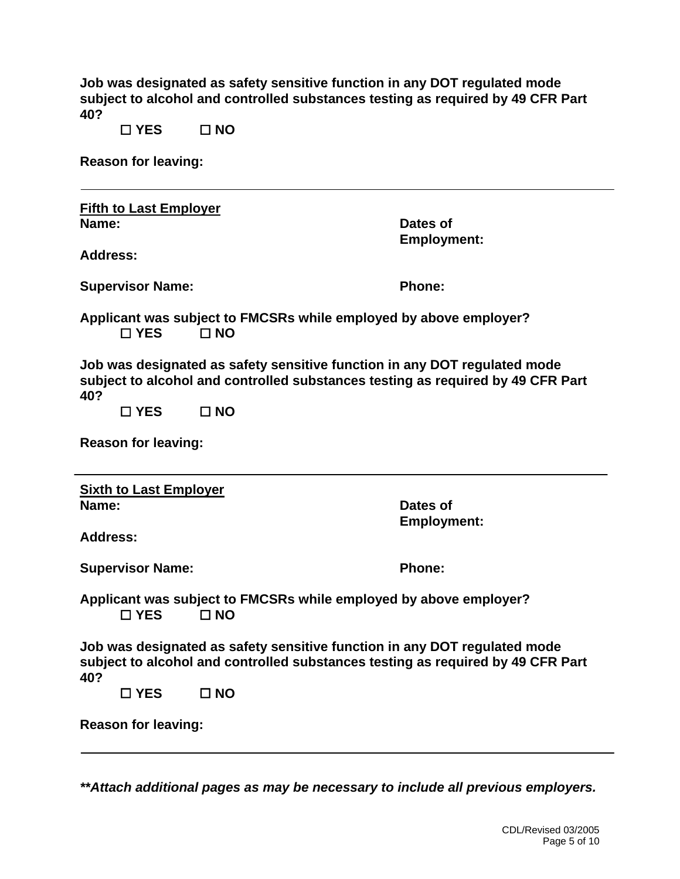| Job was designated as safety sensitive function in any DOT regulated mode       |
|---------------------------------------------------------------------------------|
| subject to alcohol and controlled substances testing as required by 49 CFR Part |
| 40?                                                                             |

 **YES NO** 

**Reason for leaving:** 

| <b>Fifth to Last Employer</b><br>Name:<br><b>Address:</b>                                                                                                           |                                                                                   | Dates of<br><b>Employment:</b> |
|---------------------------------------------------------------------------------------------------------------------------------------------------------------------|-----------------------------------------------------------------------------------|--------------------------------|
|                                                                                                                                                                     |                                                                                   |                                |
| <b>Supervisor Name:</b>                                                                                                                                             |                                                                                   | <b>Phone:</b>                  |
| □ YES                                                                                                                                                               | Applicant was subject to FMCSRs while employed by above employer?<br>$\square$ NO |                                |
| Job was designated as safety sensitive function in any DOT regulated mode<br>subject to alcohol and controlled substances testing as required by 49 CFR Part<br>40? |                                                                                   |                                |
| $\square$ YES                                                                                                                                                       | $\Box$ NO                                                                         |                                |
| <b>Reason for leaving:</b>                                                                                                                                          |                                                                                   |                                |
| <b>Sixth to Last Employer</b><br>Name:                                                                                                                              |                                                                                   | Dates of<br><b>Employment:</b> |
| <b>Address:</b>                                                                                                                                                     |                                                                                   |                                |
| <b>Supervisor Name:</b>                                                                                                                                             |                                                                                   | Phone:                         |
| Applicant was subject to FMCSRs while employed by above employer?<br>$\Box$ YES<br>$\Box$ NO                                                                        |                                                                                   |                                |
| Job was designated as safety sensitive function in any DOT regulated mode<br>subject to alcohol and controlled substances testing as required by 49 CFR Part<br>40? |                                                                                   |                                |
| $\square$ YES                                                                                                                                                       | $\square$ NO                                                                      |                                |
| <b>Reason for leaving:</b>                                                                                                                                          |                                                                                   |                                |

*\*\*Attach additional pages as may be necessary to include all previous employers.*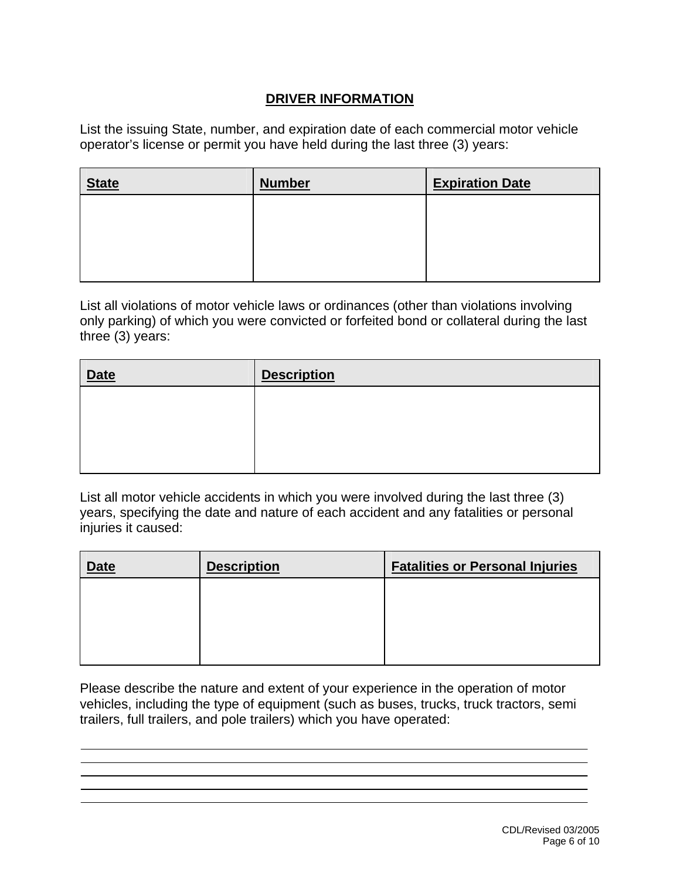## **DRIVER INFORMATION**

List the issuing State, number, and expiration date of each commercial motor vehicle operator's license or permit you have held during the last three (3) years:

| <b>State</b> | <b>Number</b> | <b>Expiration Date</b> |
|--------------|---------------|------------------------|
|              |               |                        |
|              |               |                        |
|              |               |                        |

List all violations of motor vehicle laws or ordinances (other than violations involving only parking) of which you were convicted or forfeited bond or collateral during the last three (3) years:

| <b>Date</b> | <b>Description</b> |
|-------------|--------------------|
|             |                    |
|             |                    |
|             |                    |
|             |                    |

List all motor vehicle accidents in which you were involved during the last three (3) years, specifying the date and nature of each accident and any fatalities or personal injuries it caused:

| <b>Date</b> | <b>Description</b> | <b>Fatalities or Personal Injuries</b> |
|-------------|--------------------|----------------------------------------|
|             |                    |                                        |
|             |                    |                                        |
|             |                    |                                        |
|             |                    |                                        |

Please describe the nature and extent of your experience in the operation of motor vehicles, including the type of equipment (such as buses, trucks, truck tractors, semi trailers, full trailers, and pole trailers) which you have operated:

 $\overline{a}$ j Ī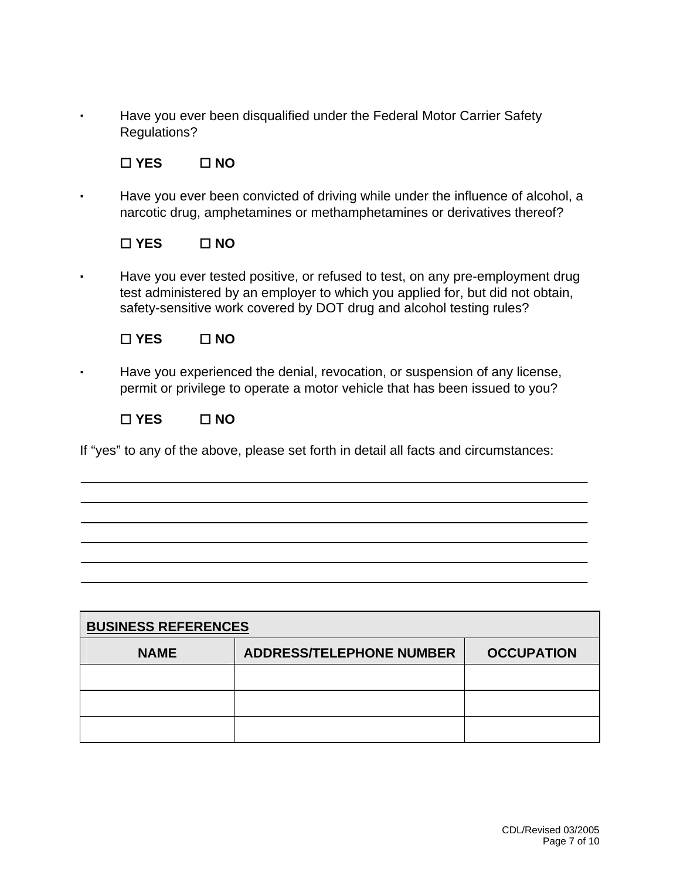· Have you ever been disqualified under the Federal Motor Carrier Safety Regulations?

# **YES NO**

Have you ever been convicted of driving while under the influence of alcohol, a narcotic drug, amphetamines or methamphetamines or derivatives thereof?

## **YES NO**

· Have you ever tested positive, or refused to test, on any pre-employment drug test administered by an employer to which you applied for, but did not obtain, safety-sensitive work covered by DOT drug and alcohol testing rules?

## **YES NO**

Have you experienced the denial, revocation, or suspension of any license, permit or privilege to operate a motor vehicle that has been issued to you?

### **YES NO**

 $\overline{a}$ 

If "yes" to any of the above, please set forth in detail all facts and circumstances:

| <b>BUSINESS REFERENCES</b> |                                 |                   |  |
|----------------------------|---------------------------------|-------------------|--|
| <b>NAME</b>                | <b>ADDRESS/TELEPHONE NUMBER</b> | <b>OCCUPATION</b> |  |
|                            |                                 |                   |  |
|                            |                                 |                   |  |
|                            |                                 |                   |  |

 $\overline{a}$  $\overline{a}$ 

İ  $\overline{a}$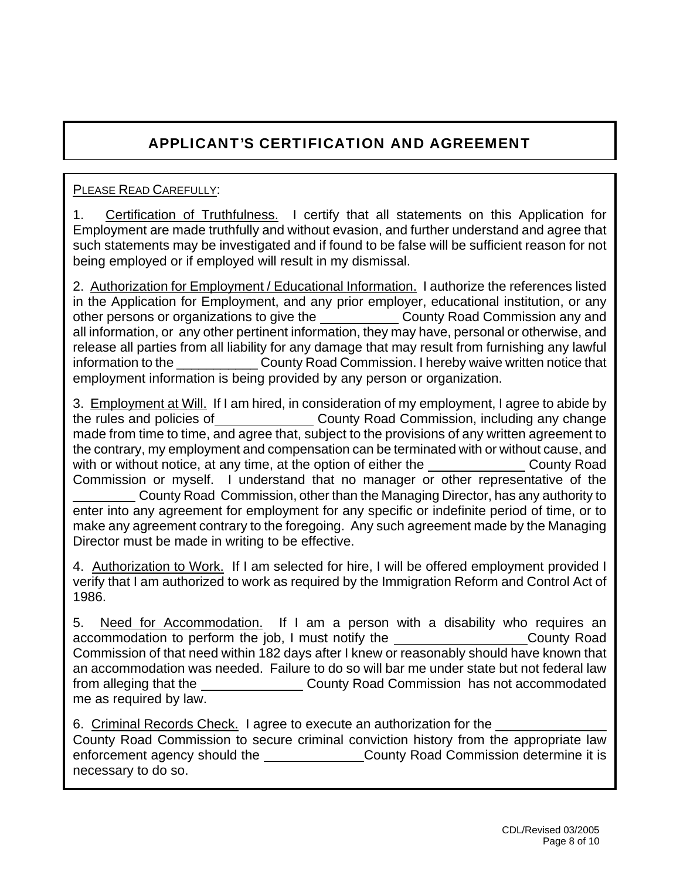# APPLICANT'S CERTIFICATION AND AGREEMENT

# PLEASE READ CAREFULLY:

1. Certification of Truthfulness. I certify that all statements on this Application for Employment are made truthfully and without evasion, and further understand and agree that such statements may be investigated and if found to be false will be sufficient reason for not being employed or if employed will result in my dismissal.

2. Authorization for Employment / Educational Information. I authorize the references listed in the Application for Employment, and any prior employer, educational institution, or any other persons or organizations to give the County Road Commission any and all information, or any other pertinent information, they may have, personal or otherwise, and release all parties from all liability for any damage that may result from furnishing any lawful information to the **Example 20 County Road Commission.** I hereby waive written notice that employment information is being provided by any person or organization.

3. Employment at Will. If I am hired, in consideration of my employment, I agree to abide by the rules and policies of County Road Commission, including any change made from time to time, and agree that, subject to the provisions of any written agreement to the contrary, my employment and compensation can be terminated with or without cause, and with or without notice, at any time, at the option of either the County Road Commission or myself. I understand that no manager or other representative of the County Road Commission, other than the Managing Director, has any authority to enter into any agreement for employment for any specific or indefinite period of time, or to make any agreement contrary to the foregoing. Any such agreement made by the Managing Director must be made in writing to be effective.

4. Authorization to Work. If I am selected for hire, I will be offered employment provided I verify that I am authorized to work as required by the Immigration Reform and Control Act of 1986.

5. Need for Accommodation. If I am a person with a disability who requires an accommodation to perform the job, I must notify the County Road Commission of that need within 182 days after I knew or reasonably should have known that an accommodation was needed. Failure to do so will bar me under state but not federal law from alleging that the County Road Commission has not accommodated me as required by law.

6. Criminal Records Check. I agree to execute an authorization for the County Road Commission to secure criminal conviction history from the appropriate law enforcement agency should the \_\_\_\_\_\_\_\_\_\_\_\_\_\_\_\_\_\_County Road Commission determine it is necessary to do so.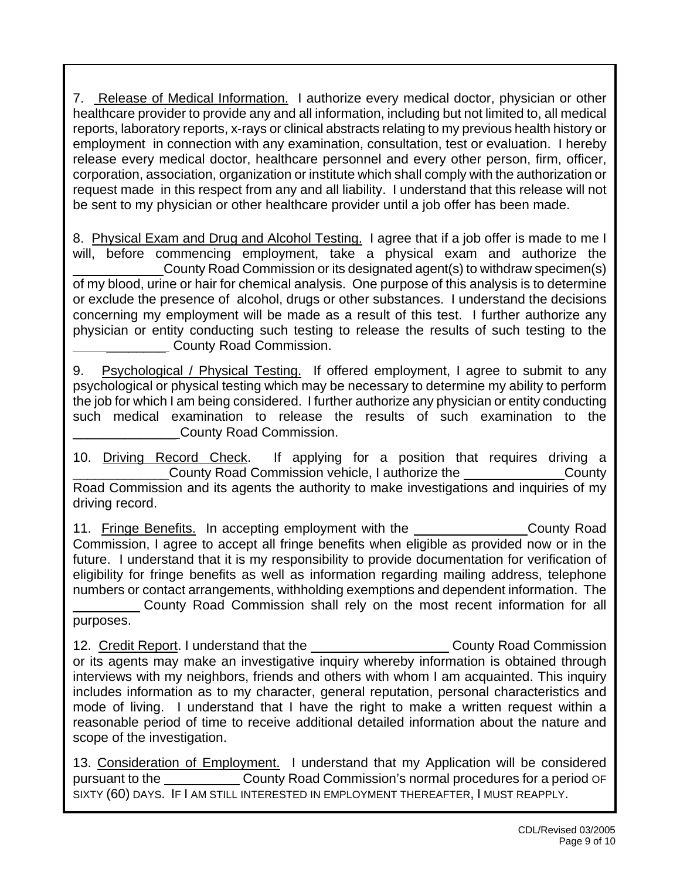7. Release of Medical Information. I authorize every medical doctor, physician or other healthcare provider to provide any and all information, including but not limited to, all medical reports, laboratory reports, x-rays or clinical abstracts relating to my previous health history or employment in connection with any examination, consultation, test or evaluation. I hereby release every medical doctor, healthcare personnel and every other person, firm, officer, corporation, association, organization or institute which shall comply with the authorization or request made in this respect from any and all liability. I understand that this release will not be sent to my physician or other healthcare provider until a job offer has been made.

8. Physical Exam and Drug and Alcohol Testing. I agree that if a job offer is made to me I will, before commencing employment, take a physical exam and authorize the County Road Commission or its designated agent(s) to withdraw specimen(s) of my blood, urine or hair for chemical analysis. One purpose of this analysis is to determine or exclude the presence of alcohol, drugs or other substances. I understand the decisions concerning my employment will be made as a result of this test. I further authorize any physician or entity conducting such testing to release the results of such testing to the County Road Commission.

9. Psychological / Physical Testing. If offered employment, I agree to submit to any psychological or physical testing which may be necessary to determine my ability to perform the job for which I am being considered. I further authorize any physician or entity conducting such medical examination to release the results of such examination to the \_\_\_\_\_\_\_\_\_\_\_\_\_\_ County Road Commission.

10. Driving Record Check. If applying for a position that requires driving a \_\_\_\_\_\_\_\_\_\_\_\_\_County Road Commission vehicle, I authorize the County Road Commission and its agents the authority to make investigations and inquiries of my driving record.

11. Fringe Benefits. In accepting employment with the County Road Commission, I agree to accept all fringe benefits when eligible as provided now or in the future. I understand that it is my responsibility to provide documentation for verification of eligibility for fringe benefits as well as information regarding mailing address, telephone numbers or contact arrangements, withholding exemptions and dependent information. The

 County Road Commission shall rely on the most recent information for all purposes.

12. Credit Report. I understand that the County Road Commission or its agents may make an investigative inquiry whereby information is obtained through interviews with my neighbors, friends and others with whom I am acquainted. This inquiry includes information as to my character, general reputation, personal characteristics and mode of living. I understand that I have the right to make a written request within a reasonable period of time to receive additional detailed information about the nature and scope of the investigation.

13. Consideration of Employment. I understand that my Application will be considered pursuant to the County Road Commission's normal procedures for a period OF SIXTY (60) DAYS. IF I AM STILL INTERESTED IN EMPLOYMENT THEREAFTER, I MUST REAPPLY.